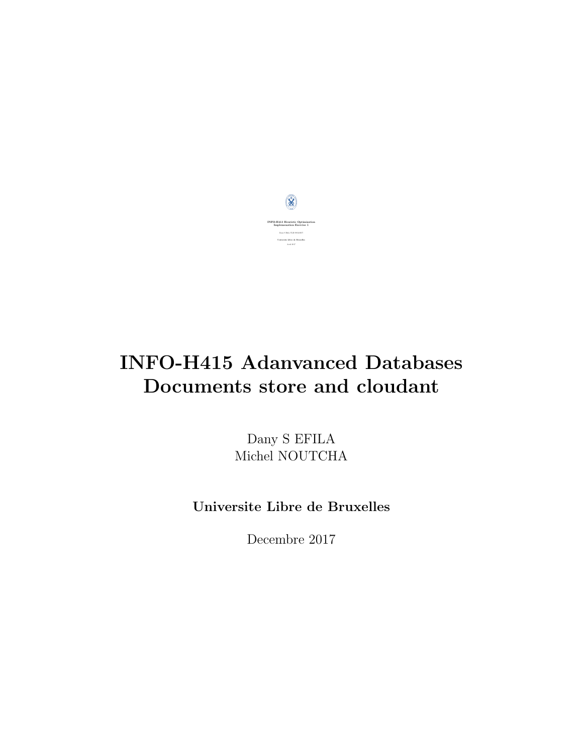

# INFO-H415 Adanvanced Databases Documents store and cloudant

Dany S EFILA Michel NOUTCHA

Universite Libre de Bruxelles

Decembre 2017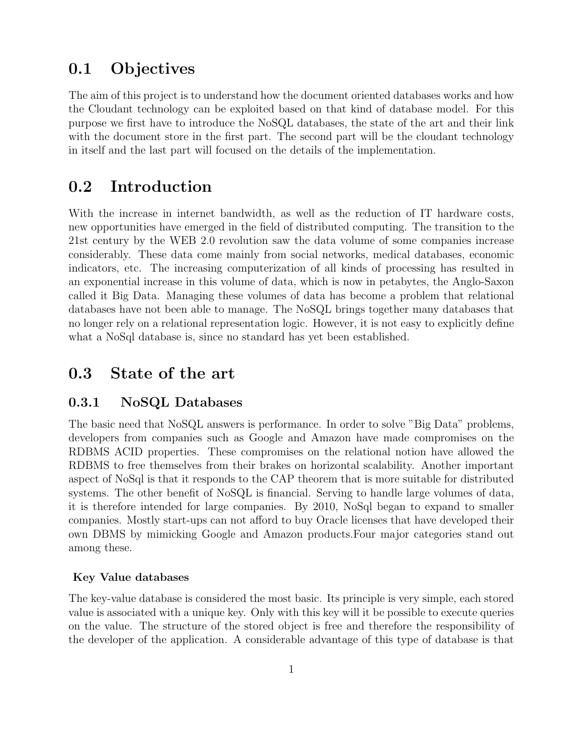# 0.1 Objectives

The aim of this project is to understand how the document oriented databases works and how the Cloudant technology can be exploited based on that kind of database model. For this purpose we first have to introduce the NoSQL databases, the state of the art and their link with the document store in the first part. The second part will be the cloudant technology in itself and the last part will focused on the details of the implementation.

# 0.2 Introduction

With the increase in internet bandwidth, as well as the reduction of IT hardware costs, new opportunities have emerged in the field of distributed computing. The transition to the 21st century by the WEB 2.0 revolution saw the data volume of some companies increase considerably. These data come mainly from social networks, medical databases, economic indicators, etc. The increasing computerization of all kinds of processing has resulted in an exponential increase in this volume of data, which is now in petabytes, the Anglo-Saxon called it Big Data. Managing these volumes of data has become a problem that relational databases have not been able to manage. The NoSQL brings together many databases that no longer rely on a relational representation logic. However, it is not easy to explicitly define what a NoSql database is, since no standard has yet been established.

### 0.3 State of the art

### 0.3.1 NoSQL Databases

The basic need that NoSQL answers is performance. In order to solve "Big Data" problems, developers from companies such as Google and Amazon have made compromises on the RDBMS ACID properties. These compromises on the relational notion have allowed the RDBMS to free themselves from their brakes on horizontal scalability. Another important aspect of NoSql is that it responds to the CAP theorem that is more suitable for distributed systems. The other benefit of NoSQL is financial. Serving to handle large volumes of data, it is therefore intended for large companies. By 2010, NoSql began to expand to smaller companies. Mostly start-ups can not afford to buy Oracle licenses that have developed their own DBMS by mimicking Google and Amazon products.Four major categories stand out among these.

### Key Value databases

The key-value database is considered the most basic. Its principle is very simple, each stored value is associated with a unique key. Only with this key will it be possible to execute queries on the value. The structure of the stored object is free and therefore the responsibility of the developer of the application. A considerable advantage of this type of database is that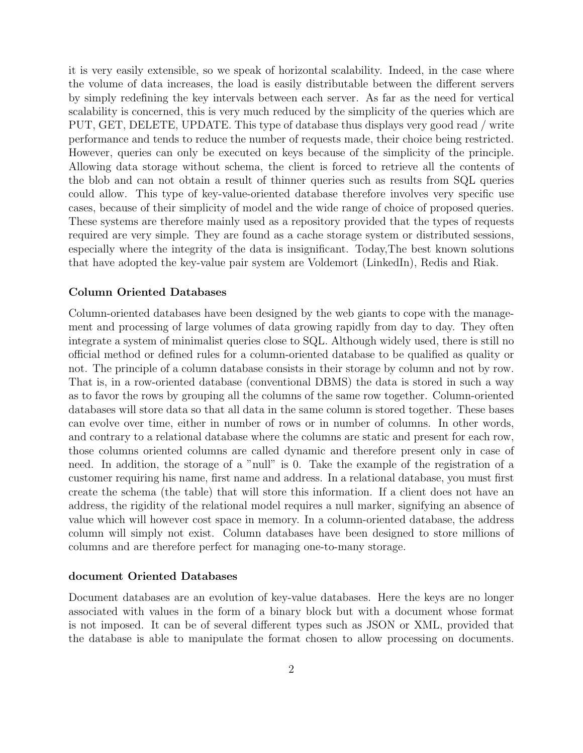it is very easily extensible, so we speak of horizontal scalability. Indeed, in the case where the volume of data increases, the load is easily distributable between the different servers by simply redefining the key intervals between each server. As far as the need for vertical scalability is concerned, this is very much reduced by the simplicity of the queries which are PUT, GET, DELETE, UPDATE. This type of database thus displays very good read / write performance and tends to reduce the number of requests made, their choice being restricted. However, queries can only be executed on keys because of the simplicity of the principle. Allowing data storage without schema, the client is forced to retrieve all the contents of the blob and can not obtain a result of thinner queries such as results from SQL queries could allow. This type of key-value-oriented database therefore involves very specific use cases, because of their simplicity of model and the wide range of choice of proposed queries. These systems are therefore mainly used as a repository provided that the types of requests required are very simple. They are found as a cache storage system or distributed sessions, especially where the integrity of the data is insignificant. Today,The best known solutions that have adopted the key-value pair system are Voldemort (LinkedIn), Redis and Riak.

#### Column Oriented Databases

Column-oriented databases have been designed by the web giants to cope with the management and processing of large volumes of data growing rapidly from day to day. They often integrate a system of minimalist queries close to SQL. Although widely used, there is still no official method or defined rules for a column-oriented database to be qualified as quality or not. The principle of a column database consists in their storage by column and not by row. That is, in a row-oriented database (conventional DBMS) the data is stored in such a way as to favor the rows by grouping all the columns of the same row together. Column-oriented databases will store data so that all data in the same column is stored together. These bases can evolve over time, either in number of rows or in number of columns. In other words, and contrary to a relational database where the columns are static and present for each row, those columns oriented columns are called dynamic and therefore present only in case of need. In addition, the storage of a "null" is 0. Take the example of the registration of a customer requiring his name, first name and address. In a relational database, you must first create the schema (the table) that will store this information. If a client does not have an address, the rigidity of the relational model requires a null marker, signifying an absence of value which will however cost space in memory. In a column-oriented database, the address column will simply not exist. Column databases have been designed to store millions of columns and are therefore perfect for managing one-to-many storage.

#### document Oriented Databases

Document databases are an evolution of key-value databases. Here the keys are no longer associated with values in the form of a binary block but with a document whose format is not imposed. It can be of several different types such as JSON or XML, provided that the database is able to manipulate the format chosen to allow processing on documents.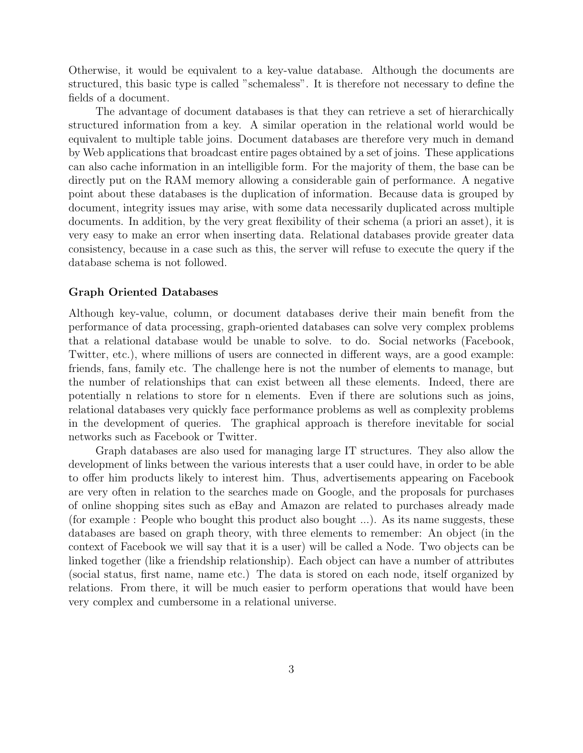Otherwise, it would be equivalent to a key-value database. Although the documents are structured, this basic type is called "schemaless". It is therefore not necessary to define the fields of a document.

The advantage of document databases is that they can retrieve a set of hierarchically structured information from a key. A similar operation in the relational world would be equivalent to multiple table joins. Document databases are therefore very much in demand by Web applications that broadcast entire pages obtained by a set of joins. These applications can also cache information in an intelligible form. For the majority of them, the base can be directly put on the RAM memory allowing a considerable gain of performance. A negative point about these databases is the duplication of information. Because data is grouped by document, integrity issues may arise, with some data necessarily duplicated across multiple documents. In addition, by the very great flexibility of their schema (a priori an asset), it is very easy to make an error when inserting data. Relational databases provide greater data consistency, because in a case such as this, the server will refuse to execute the query if the database schema is not followed.

#### Graph Oriented Databases

Although key-value, column, or document databases derive their main benefit from the performance of data processing, graph-oriented databases can solve very complex problems that a relational database would be unable to solve. to do. Social networks (Facebook, Twitter, etc.), where millions of users are connected in different ways, are a good example: friends, fans, family etc. The challenge here is not the number of elements to manage, but the number of relationships that can exist between all these elements. Indeed, there are potentially n relations to store for n elements. Even if there are solutions such as joins, relational databases very quickly face performance problems as well as complexity problems in the development of queries. The graphical approach is therefore inevitable for social networks such as Facebook or Twitter.

Graph databases are also used for managing large IT structures. They also allow the development of links between the various interests that a user could have, in order to be able to offer him products likely to interest him. Thus, advertisements appearing on Facebook are very often in relation to the searches made on Google, and the proposals for purchases of online shopping sites such as eBay and Amazon are related to purchases already made (for example : People who bought this product also bought ...). As its name suggests, these databases are based on graph theory, with three elements to remember: An object (in the context of Facebook we will say that it is a user) will be called a Node. Two objects can be linked together (like a friendship relationship). Each object can have a number of attributes (social status, first name, name etc.) The data is stored on each node, itself organized by relations. From there, it will be much easier to perform operations that would have been very complex and cumbersome in a relational universe.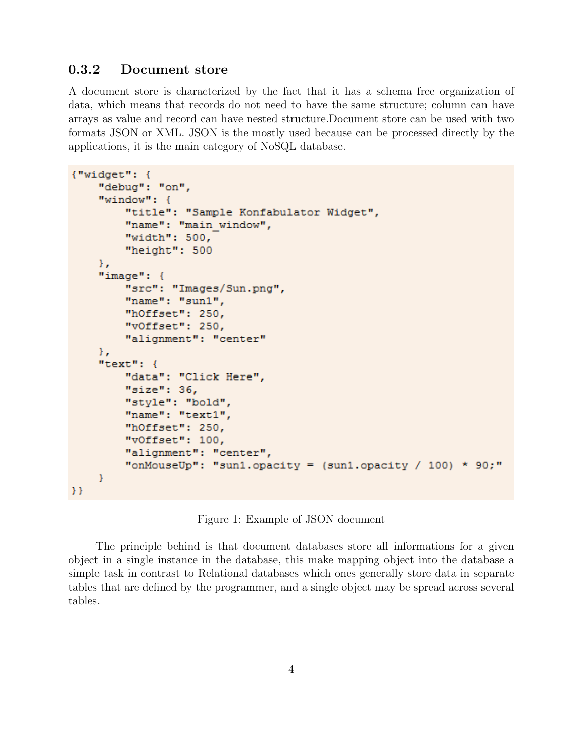### 0.3.2 Document store

A document store is characterized by the fact that it has a schema free organization of data, which means that records do not need to have the same structure; column can have arrays as value and record can have nested structure.Document store can be used with two formats JSON or XML. JSON is the mostly used because can be processed directly by the applications, it is the main category of NoSQL database.

```
{ "wide" : }"debug": "on",
"window": {
    "title": "Sample Konfabulator Widget",
    "name": "main window",
    "width": 500,
    "height": 500
Σ,
"image": {
    "src": "Images/Sun.png",
    "name": "sun1",
    "hOffset": 250,
    "vOffset": 250,
    "alignment": "center"
Υ,
"text": {
    "data": "Click Here",
    "size": 36,
    "style": "bold",
    "name": "text1",
    "hOffset": 250,
    "vOffset": 100,
    "alignment": "center",
    "onMouseUp": "sun1.opacity = (sun1. opacity / 100) * 90;"
ŀ
```
Figure 1: Example of JSON document

The principle behind is that document databases store all informations for a given object in a single instance in the database, this make mapping object into the database a simple task in contrast to Relational databases which ones generally store data in separate tables that are defined by the programmer, and a single object may be spread across several tables.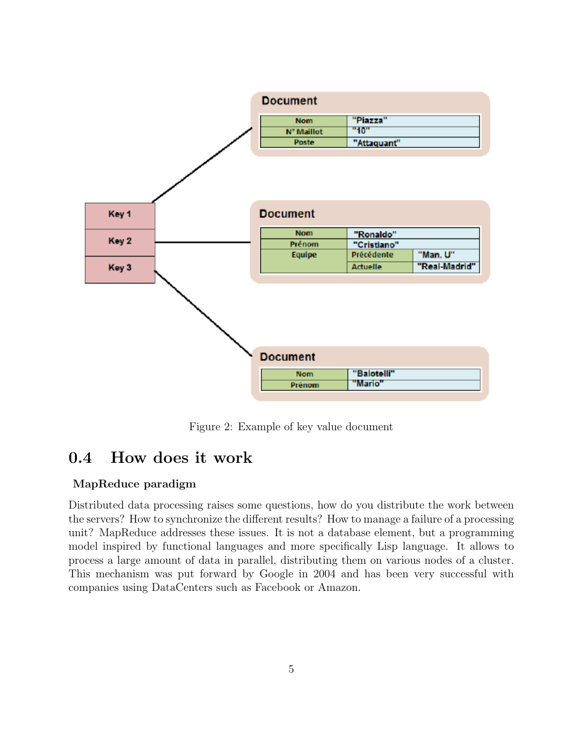

Figure 2: Example of key value document

# 0.4 How does it work

### MapReduce paradigm

Distributed data processing raises some questions, how do you distribute the work between the servers? How to synchronize the different results? How to manage a failure of a processing unit? MapReduce addresses these issues. It is not a database element, but a programming model inspired by functional languages and more specifically Lisp language. It allows to process a large amount of data in parallel, distributing them on various nodes of a cluster. This mechanism was put forward by Google in 2004 and has been very successful with companies using DataCenters such as Facebook or Amazon.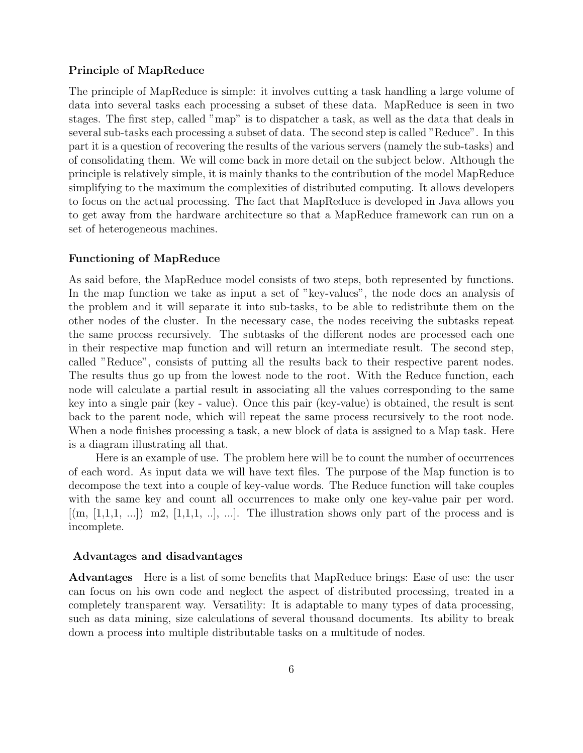#### Principle of MapReduce

The principle of MapReduce is simple: it involves cutting a task handling a large volume of data into several tasks each processing a subset of these data. MapReduce is seen in two stages. The first step, called "map" is to dispatcher a task, as well as the data that deals in several sub-tasks each processing a subset of data. The second step is called "Reduce". In this part it is a question of recovering the results of the various servers (namely the sub-tasks) and of consolidating them. We will come back in more detail on the subject below. Although the principle is relatively simple, it is mainly thanks to the contribution of the model MapReduce simplifying to the maximum the complexities of distributed computing. It allows developers to focus on the actual processing. The fact that MapReduce is developed in Java allows you to get away from the hardware architecture so that a MapReduce framework can run on a set of heterogeneous machines.

#### Functioning of MapReduce

As said before, the MapReduce model consists of two steps, both represented by functions. In the map function we take as input a set of "key-values", the node does an analysis of the problem and it will separate it into sub-tasks, to be able to redistribute them on the other nodes of the cluster. In the necessary case, the nodes receiving the subtasks repeat the same process recursively. The subtasks of the different nodes are processed each one in their respective map function and will return an intermediate result. The second step, called "Reduce", consists of putting all the results back to their respective parent nodes. The results thus go up from the lowest node to the root. With the Reduce function, each node will calculate a partial result in associating all the values corresponding to the same key into a single pair (key - value). Once this pair (key-value) is obtained, the result is sent back to the parent node, which will repeat the same process recursively to the root node. When a node finishes processing a task, a new block of data is assigned to a Map task. Here is a diagram illustrating all that.

Here is an example of use. The problem here will be to count the number of occurrences of each word. As input data we will have text files. The purpose of the Map function is to decompose the text into a couple of key-value words. The Reduce function will take couples with the same key and count all occurrences to make only one key-value pair per word.  $[(m, [1,1,1, \ldots]) \mod [1,1,1, \ldots], \ldots]$ . The illustration shows only part of the process and is incomplete.

#### Advantages and disadvantages

Advantages Here is a list of some benefits that MapReduce brings: Ease of use: the user can focus on his own code and neglect the aspect of distributed processing, treated in a completely transparent way. Versatility: It is adaptable to many types of data processing, such as data mining, size calculations of several thousand documents. Its ability to break down a process into multiple distributable tasks on a multitude of nodes.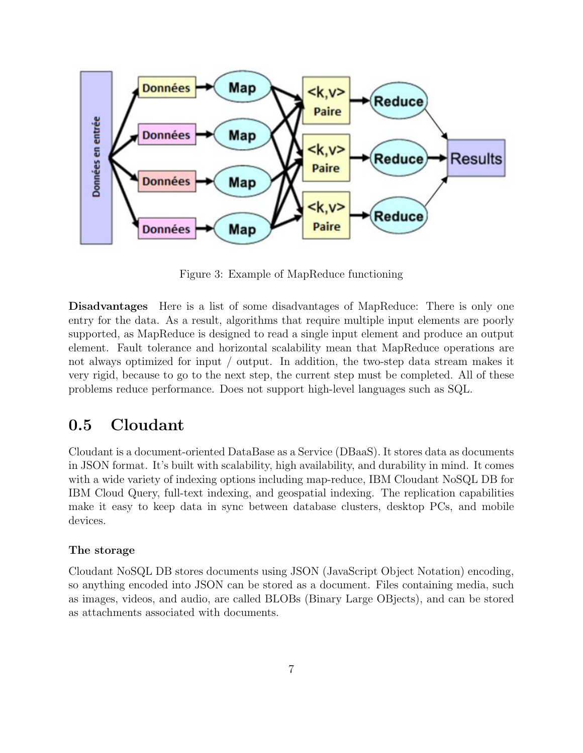

Figure 3: Example of MapReduce functioning

Disadvantages Here is a list of some disadvantages of MapReduce: There is only one entry for the data. As a result, algorithms that require multiple input elements are poorly supported, as MapReduce is designed to read a single input element and produce an output element. Fault tolerance and horizontal scalability mean that MapReduce operations are not always optimized for input / output. In addition, the two-step data stream makes it very rigid, because to go to the next step, the current step must be completed. All of these problems reduce performance. Does not support high-level languages such as SQL.

# 0.5 Cloudant

Cloudant is a document-oriented DataBase as a Service (DBaaS). It stores data as documents in JSON format. It's built with scalability, high availability, and durability in mind. It comes with a wide variety of indexing options including map-reduce, IBM Cloudant NoSQL DB for IBM Cloud Query, full-text indexing, and geospatial indexing. The replication capabilities make it easy to keep data in sync between database clusters, desktop PCs, and mobile devices.

### The storage

Cloudant NoSQL DB stores documents using JSON (JavaScript Object Notation) encoding, so anything encoded into JSON can be stored as a document. Files containing media, such as images, videos, and audio, are called BLOBs (Binary Large OBjects), and can be stored as attachments associated with documents.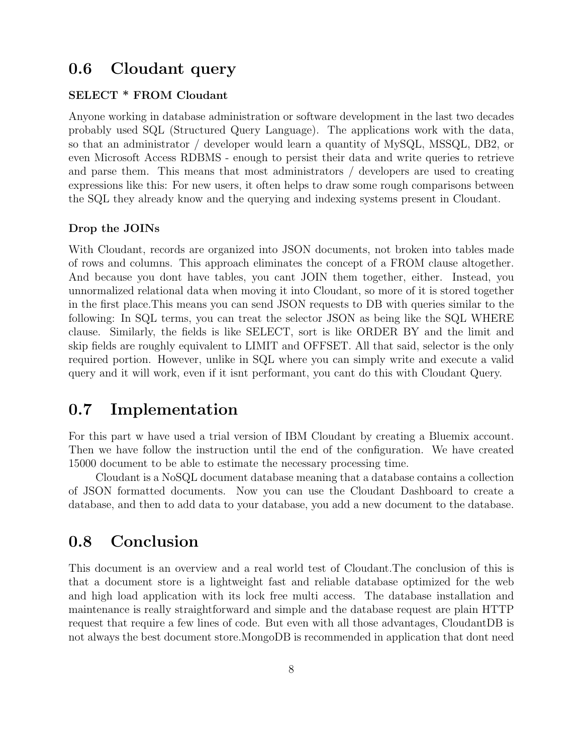# 0.6 Cloudant query

### SELECT \* FROM Cloudant

Anyone working in database administration or software development in the last two decades probably used SQL (Structured Query Language). The applications work with the data, so that an administrator / developer would learn a quantity of MySQL, MSSQL, DB2, or even Microsoft Access RDBMS - enough to persist their data and write queries to retrieve and parse them. This means that most administrators / developers are used to creating expressions like this: For new users, it often helps to draw some rough comparisons between the SQL they already know and the querying and indexing systems present in Cloudant.

#### Drop the JOINs

With Cloudant, records are organized into JSON documents, not broken into tables made of rows and columns. This approach eliminates the concept of a FROM clause altogether. And because you dont have tables, you cant JOIN them together, either. Instead, you unnormalized relational data when moving it into Cloudant, so more of it is stored together in the first place.This means you can send JSON requests to DB with queries similar to the following: In SQL terms, you can treat the selector JSON as being like the SQL WHERE clause. Similarly, the fields is like SELECT, sort is like ORDER BY and the limit and skip fields are roughly equivalent to LIMIT and OFFSET. All that said, selector is the only required portion. However, unlike in SQL where you can simply write and execute a valid query and it will work, even if it isnt performant, you cant do this with Cloudant Query.

# 0.7 Implementation

For this part w have used a trial version of IBM Cloudant by creating a Bluemix account. Then we have follow the instruction until the end of the configuration. We have created 15000 document to be able to estimate the necessary processing time.

Cloudant is a NoSQL document database meaning that a database contains a collection of JSON formatted documents. Now you can use the Cloudant Dashboard to create a database, and then to add data to your database, you add a new document to the database.

# 0.8 Conclusion

This document is an overview and a real world test of Cloudant.The conclusion of this is that a document store is a lightweight fast and reliable database optimized for the web and high load application with its lock free multi access. The database installation and maintenance is really straightforward and simple and the database request are plain HTTP request that require a few lines of code. But even with all those advantages, CloudantDB is not always the best document store.MongoDB is recommended in application that dont need